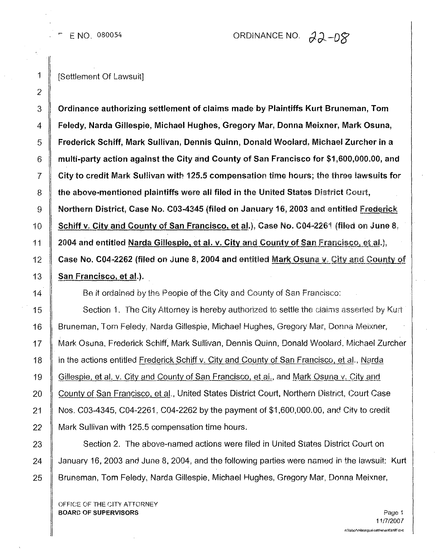E NO. 080054

## ORDINANCE NO. 22-08

1 | [Settlement Of Lawsuit]

3 | Ordinance authorizing settlement of claims made by Plaintiffs Kurt Bruneman, Tom 4 Feledy, Narda Gillespie, Michael Hughes, Gregory Mar, Donna Meixner, Mark Osuna, 5 Frederick Schiff, Mark Sullivan, Dennis Quinn, Donald Woolard, Michael Zurcher in a 6 multi-party action against the City and County of San Francisco for \$1,600,000,00, and  $7 \parallel$  City to credit Mark Sullivan with 125.5 compensation time hours; the three lawsuits for  $8 \parallel$  the above-mentioned plaintiffs were all filed in the United States District Court, 9 Northern District, Case No. C03-4345 (filed on January 16, 2003 and entitled Frederick 10 | Schiff v. City and County of San Francisco, et al.), Case No. C04-2261 (filed on June 8, 11  $\parallel$  2004 and entitled Narda Gillespie, et al. v. City and County of San Francisco, et al.). 12  $\parallel$  Case No. C04-2262 (filed on June 8, 2004 and entitled Mark Osuna v. City and County of  $13$   $\parallel$  San Francisco, et al.).

14 **Be it ordained by the People of the City and County of San Francisco:** 

15  $\parallel$  Section 1. The City Attorney is hereby authorized to settle the claims asserted by Kurt 16 Bruneman, Tom Feledy, Narda Gillespie, Michael Hughes, Gregory Mar, Donna Meixner, 17 Mark Osuna, Frederick Schiff, Mark Sullivan, Dennis Quinn, Donald Woolard, Michael Zurcher 18 **in the actions entitled Frederick Schiff v. City and County of San Francisco, et al., Narda** 19 Gillespie, et al. v. City and County of San Francisco, et al., and Mark Osuna v. City and 20 | County of San Francisco, et al., United States District Court, Northern District, Court Case 21 Nos. C03-4345, C04·2261, C04-2262 by the payment of \$1,600,000.00, and City to credit 22 Mark Sullivan with 125.5 compensation time hours.

23 Section 2. The above-named actions were filed in United States District Court on 24  $\parallel$  January 16, 2003 and June 8, 2004, and the following parties were named in the lawsuit: Kurt 25 | Bruneman, Tom Feledy, Narda Gillespie, Michael Hughes, Gregory Mar, Donna Meixner,

OFFICE OF THE CITY ATTORNEY **BOARD OF SUPERVISORS** Page 1

11/7/2001n: habor mieonque isettlement shiff duc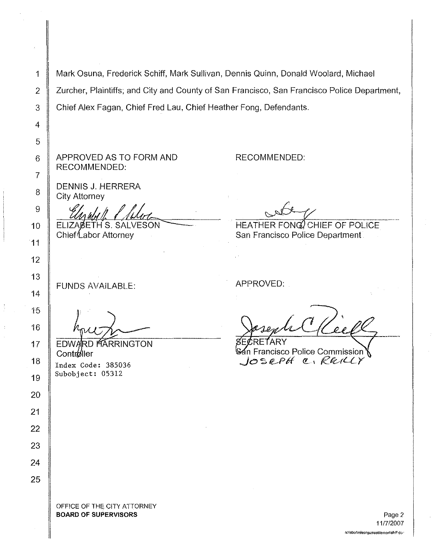1 Mark Osuna, Frederick Schiff, Mark Sullivan, Dennis Quinn, Donald Woolard, Michael 2 Zurcher, Plaintiffs; and City and County of San Francisco, San Francisco Police Department, 3 Chief Alex Fagan, Chief Fred Lau, Chief Heather Fong, Defendants. 4 5 APPROVED AS TO FORM AND RECOMMENDED: 6 RECOMMENDED: 7 DENNIS J. HERRERA 8 City Attorney 9 ELIZABETH S. SALVESON HEATHER FONG CHIEF OF POLICE Chief Labor Attorney San Francisco Police Department APPROVED: FUNDS AVAILABLE: ECRETARY **EDWARD HARRINGTON** Francisco Police Commission Controller *.J*<sup>0</sup> /l-P*II* « <sup>I</sup> *Rl!c.-tQY* Index Code: 385036 Subobject: 05312 OFFiCE OF THE; CITY ATTORNEY **BOARD OF SUPERVISORS** Page 2.

11/712007 n:\!abor\m!oollguelselliemenllshifl 6<;'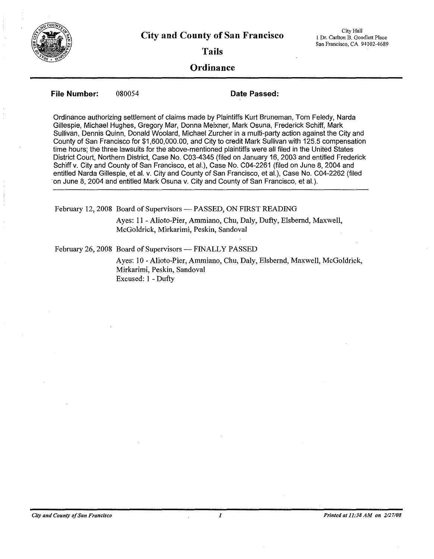

**Tails**

## **Ordinance**

**File Number:** 080054

**Date Passed:**

Ordinance authorizing settlement of claims made by Plaintiffs Kurt Bruneman, Tom Feledy, Narda Gillespie, Michael Hughes, Gregory Mar, Donna Meixner, Mark Osuna, Frederick Schiff, Mark Sullivan, Dennis Quinn, Donald Woolard, Michael Zurcher in a multi-party action against the City and County of San Francisco for \$1,600,000.00, and City to credit Mark Sullivan with 125.5 compensation time hours; the three lawsuits for the above-mentioned plaintiffs were all filed in the United States District Court, Northern District, Case No. C03-4345 (filed on January 16, 2003 and entitled Frederick Schiff v. City and County of San Francisco, et al.), Case No. C04-2261 (filed on June 8,2004 and entitled Narda Gillespie, et al. v. City and County of San Francisco, et al.), Case No. C04-2262 (filed on June 8, 2004 and entitled Mark Osuna v. City and County of San Francisco, et al.).

February 12, 2008 Board of Supervisors - PASSED, ON FIRST READING

Ayes: II - Alioto-Pier, Ammiano, Chu, Daly, Dufty, Elsbernd, Maxwell, McGoldrick, Mirkarimi, Peskin, Sandoval

February 26, 2008 Board of Supervisors - FINALLY PASSED

Ayes: 10 - Alioto-Pier, Ammiano, Chu, Daly, Elsbernd, Maxwell, McGoldrick, Mirkarimi, Peskin, Sandoval Excused: I - Dufty